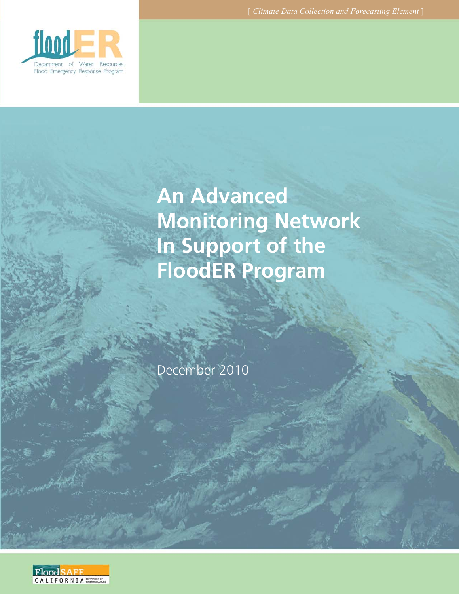

# **An Advanced Monitoring Network In Support of the FloodER Program**

December 2010

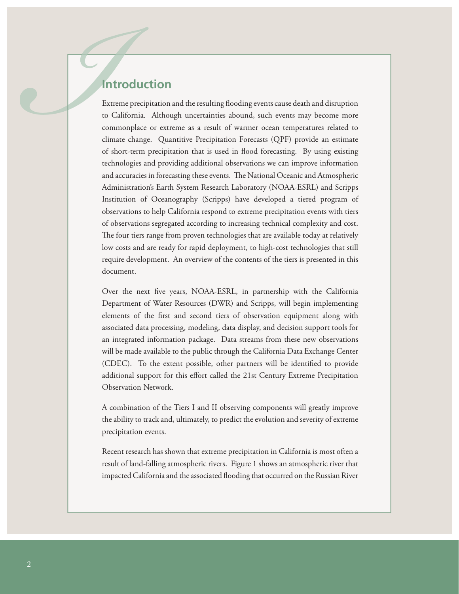Introduction<br>
Extreme precipitation<br>
to California. Althou<br>
commonplace or extr<br>
climate change. Qua<br>
of short-term precipit<br>
technologies and prov<br>
and accuracies in forec<br>
Administration's Eart<br>
Institution of Ocean Extreme precipitation and the resulting flooding events cause death and disruption to California. Although uncertainties abound, such events may become more commonplace or extreme as a result of warmer ocean temperatures related to climate change. Quantitive Precipitation Forecasts (QPF) provide an estimate of short-term precipitation that is used in flood forecasting. By using existing technologies and providing additional observations we can improve information and accuracies in forecasting these events. The National Oceanic and Atmospheric Administration's Earth System Research Laboratory (NOAA-ESRL) and Scripps Institution of Oceanography (Scripps) have developed a tiered program of observations to help California respond to extreme precipitation events with tiers of observations segregated according to increasing technical complexity and cost. The four tiers range from proven technologies that are available today at relatively low costs and are ready for rapid deployment, to high-cost technologies that still require development. An overview of the contents of the tiers is presented in this document.

> Over the next five years, NOAA-ESRL, in partnership with the California Department of Water Resources (DWR) and Scripps, will begin implementing elements of the first and second tiers of observation equipment along with associated data processing, modeling, data display, and decision support tools for an integrated information package. Data streams from these new observations will be made available to the public through the California Data Exchange Center (CDEC). To the extent possible, other partners will be identified to provide additional support for this effort called the 21st Century Extreme Precipitation Observation Network.

> A combination of the Tiers I and II observing components will greatly improve the ability to track and, ultimately, to predict the evolution and severity of extreme precipitation events.

> Recent research has shown that extreme precipitation in California is most often a result of land-falling atmospheric rivers. Figure 1 shows an atmospheric river that impacted California and the associated flooding that occurred on the Russian River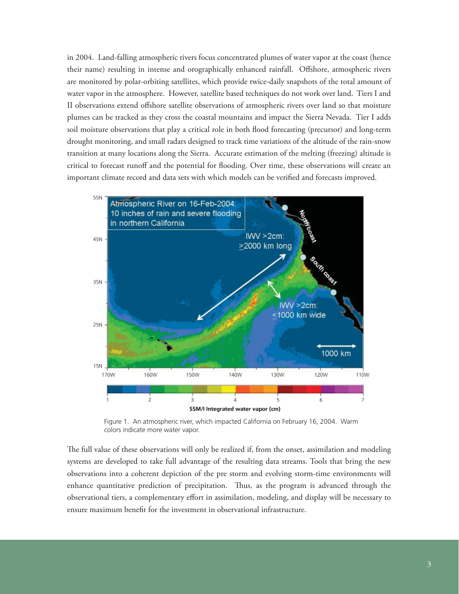in 2004. Land-falling atmospheric rivers focus concentrated plumes of water vapor at the coast (hence their name) resulting in intense and orographically enhanced rainfall. Offshore, atmospheric rivers are monitored by polar-orbiting satellites, which provide twice-daily snapshots of the total amount of water vapor in the atmosphere. However, satellite based techniques do not work over land. Tiers I and II observations extend offshore satellite observations of atmospheric rivers over land so that moisture plumes can be tracked as they cross the coastal mountains and impact the Sierra Nevada. Tier I adds soil moisture observations that play a critical role in both flood forecasting (precursor) and long-term drought monitoring, and small radars designed to track time variations of the altitude of the rain-snow transition at many locations along the Sierra. Accurate estimation of the melting (freezing) altitude is critical to forecast runoff and the potential for flooding. Over time, these observations will create an important climate record and data sets with which models can be verified and forecasts improved.



Figure 1. An atmospheric river, which impacted California on February 16, 2004. Warm colors indicate more water vapor.

The full value of these observations will only be realized if, from the onset, assimilation and modeling systems are developed to take full advantage of the resulting data streams. Tools that bring the new observations into a coherent depiction of the pre storm and evolving storm-time environments will enhance quantitative prediction of precipitation. Thus, as the program is advanced through the observational tiers, a complementary effort in assimilation, modeling, and display will be necessary to ensure maximum benefit for the investment in observational infrastructure.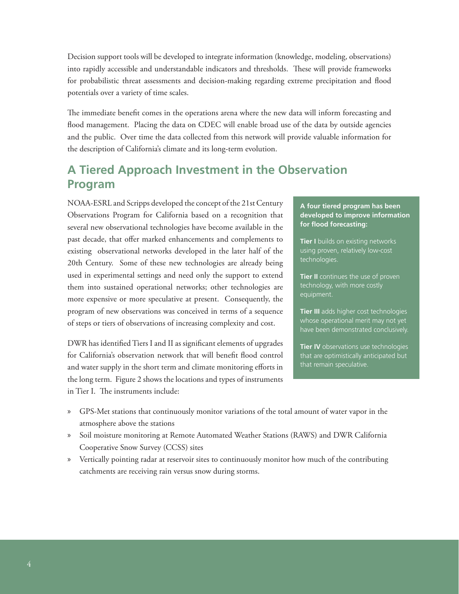Decision support tools will be developed to integrate information (knowledge, modeling, observations) into rapidly accessible and understandable indicators and thresholds. These will provide frameworks for probabilistic threat assessments and decision-making regarding extreme precipitation and flood potentials over a variety of time scales.

The immediate benefit comes in the operations arena where the new data will inform forecasting and flood management. Placing the data on CDEC will enable broad use of the data by outside agencies and the public. Over time the data collected from this network will provide valuable information for the description of California's climate and its long-term evolution.

# **A Tiered Approach Investment in the Observation Program**

NOAA-ESRL and Scripps developed the concept of the 21st Century Observations Program for California based on a recognition that several new observational technologies have become available in the past decade, that offer marked enhancements and complements to existing observational networks developed in the later half of the 20th Century. Some of these new technologies are already being used in experimental settings and need only the support to extend them into sustained operational networks; other technologies are more expensive or more speculative at present. Consequently, the program of new observations was conceived in terms of a sequence of steps or tiers of observations of increasing complexity and cost.

DWR has identified Tiers I and II as significant elements of upgrades for California's observation network that will benefit flood control and water supply in the short term and climate monitoring efforts in the long term. Figure 2 shows the locations and types of instruments in Tier I. The instruments include:

#### **A four tiered program has been developed to improve information**  for flood forecasting:

**Tier I** builds on existing networks using proven, relatively low-cost technologies.

**Tier II** continues the use of proven technology, with more costly equipment.

**Tier III** adds higher cost technologies whose operational merit may not yet have been demonstrated conclusively.

**Tier IV** observations use technologies that are optimistically anticipated but that remain speculative.

- » GPS-Met stations that continuously monitor variations of the total amount of water vapor in the atmosphere above the stations
- » Soil moisture monitoring at Remote Automated Weather Stations (RAWS) and DWR California Cooperative Snow Survey (CCSS) sites
- » Vertically pointing radar at reservoir sites to continuously monitor how much of the contributing catchments are receiving rain versus snow during storms.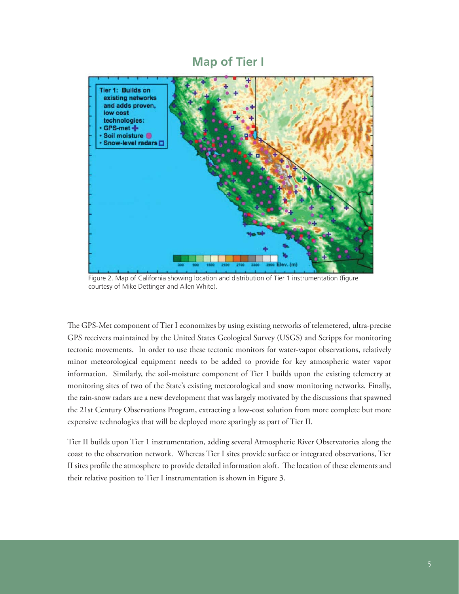## **Map of Tier I**



Figure 2. Map of California showing location and distribution of Tier 1 instrumentation (figure courtesy of Mike Dettinger and Allen White).

The GPS-Met component of Tier I economizes by using existing networks of telemetered, ultra-precise GPS receivers maintained by the United States Geological Survey (USGS) and Scripps for monitoring tectonic movements. In order to use these tectonic monitors for water-vapor observations, relatively minor meteorological equipment needs to be added to provide for key atmospheric water vapor information. Similarly, the soil-moisture component of Tier 1 builds upon the existing telemetry at monitoring sites of two of the State's existing meteorological and snow monitoring networks. Finally, the rain-snow radars are a new development that was largely motivated by the discussions that spawned the 21st Century Observations Program, extracting a low-cost solution from more complete but more expensive technologies that will be deployed more sparingly as part of Tier II.

Tier II builds upon Tier 1 instrumentation, adding several Atmospheric River Observatories along the coast to the observation network. Whereas Tier I sites provide surface or integrated observations, Tier II sites profile the atmosphere to provide detailed information aloft. The location of these elements and their relative position to Tier I instrumentation is shown in Figure 3.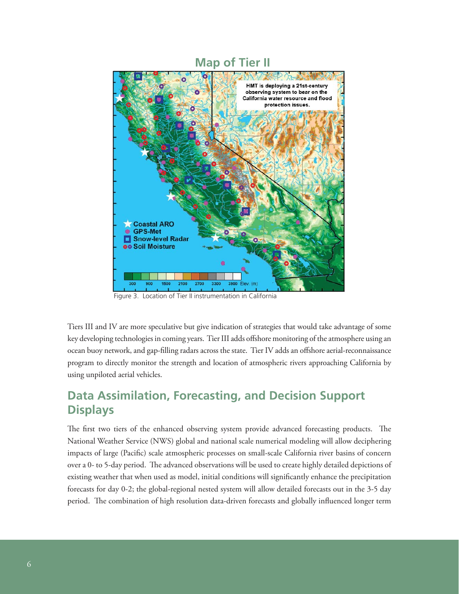

### **Map of Tier II**

Figure 3. Location of Tier II instrumentation in California

Tiers III and IV are more speculative but give indication of strategies that would take advantage of some key developing technologies in coming years. Tier III adds offshore monitoring of the atmosphere using an ocean buoy network, and gap-filling radars across the state. Tier IV adds an offshore aerial-reconnaissance program to directly monitor the strength and location of atmospheric rivers approaching California by using unpiloted aerial vehicles.

# **Data Assimilation, Forecasting, and Decision Support Displays**

The first two tiers of the enhanced observing system provide advanced forecasting products. The National Weather Service (NWS) global and national scale numerical modeling will allow deciphering impacts of large (Pacific) scale atmospheric processes on small-scale California river basins of concern over a 0- to 5-day period. The advanced observations will be used to create highly detailed depictions of existing weather that when used as model, initial conditions will significantly enhance the precipitation forecasts for day 0-2; the global-regional nested system will allow detailed forecasts out in the 3-5 day period. The combination of high resolution data-driven forecasts and globally influenced longer term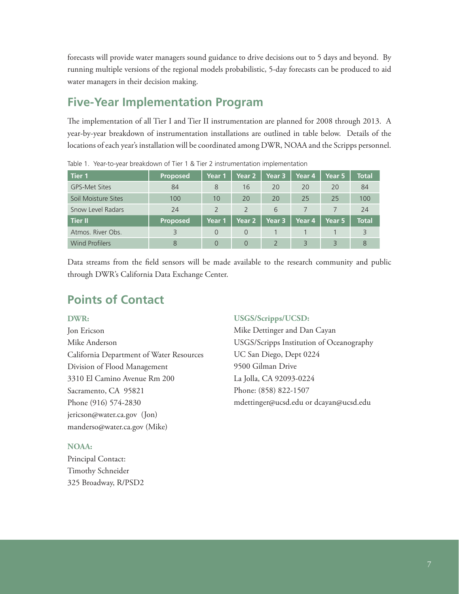forecasts will provide water managers sound guidance to drive decisions out to 5 days and beyond. By running multiple versions of the regional models probabilistic, 5-day forecasts can be produced to aid water managers in their decision making.

# **Five-Year Implementation Program**

The implementation of all Tier I and Tier II instrumentation are planned for 2008 through 2013. A year-by-year breakdown of instrumentation installations are outlined in table below. Details of the locations of each year's installation will be coordinated among DWR, NOAA and the Scripps personnel.

| Tier 1                | <b>Proposed</b> | Year 1        | Year 2         | Year 3            | Year 4        | Year 5 | <b>Total</b> |
|-----------------------|-----------------|---------------|----------------|-------------------|---------------|--------|--------------|
| <b>GPS-Met Sites</b>  | 84              | 8             | 16             | 20                | 20            | 20     | 84           |
| Soil Moisture Sites   | 100             | 10            | 20             | 20                | 25            | 25     | 100          |
| Snow Level Radars     | 24              | $\mathcal{P}$ | $\overline{2}$ | 6                 |               |        | 24           |
| Tier II               | <b>Proposed</b> | Year 1        | Year 2         | Year <sub>3</sub> | Year 4        | Year 5 | <b>Total</b> |
| Atmos. River Obs.     |                 | $\Omega$      | $\Omega$       |                   |               |        |              |
| <b>Wind Profilers</b> | 8               |               | $\Omega$       |                   | $\mathcal{R}$ | 3      | 8            |

Table 1. Year-to-year breakdown of Tier 1 & Tier 2 instrumentation implementation

Data streams from the field sensors will be made available to the research community and public through DWR's California Data Exchange Center.

# **Points of Contact**

#### **DWR:**

Jon Ericson Mike Anderson California Department of Water Resources Division of Flood Management 3310 El Camino Avenue Rm 200 Sacramento, CA 95821 Phone (916) 574-2830 jericson@water.ca.gov (Jon) manderso@water.ca.gov (Mike)

#### **NOAA:**

Principal Contact: Timothy Schneider 325 Broadway, R/PSD2

#### **USGS/Scripps/UCSD:**

Mike Dettinger and Dan Cayan USGS/Scripps Institution of Oceanography UC San Diego, Dept 0224 9500 Gilman Drive La Jolla, CA 92093-0224 Phone: (858) 822-1507 mdettinger@ucsd.edu or dcayan@ucsd.edu